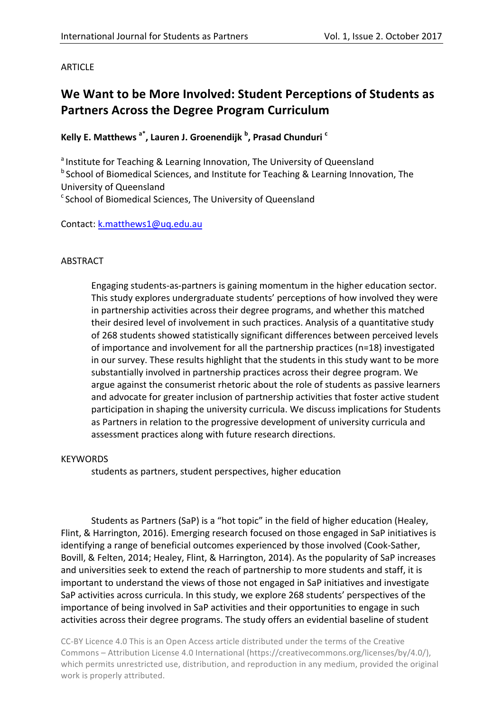# **ARTICLE**

# We Want to be More Involved: Student Perceptions of Students as **Partners Across the Degree Program Curriculum**

# **Kelly E. Matthews a\*, Lauren J. Groenendijk <sup>b</sup> , Prasad Chunduri <sup>c</sup>**

<sup>a</sup> Institute for Teaching & Learning Innovation, The University of Queensland <sup>b</sup> School of Biomedical Sciences, and Institute for Teaching & Learning Innovation, The University of Queensland  $c$  School of Biomedical Sciences, The University of Queensland

# Contact: k.matthews1@uq.edu.au

# ABSTRACT

Engaging students-as-partners is gaining momentum in the higher education sector. This study explores undergraduate students' perceptions of how involved they were in partnership activities across their degree programs, and whether this matched their desired level of involvement in such practices. Analysis of a quantitative study of 268 students showed statistically significant differences between perceived levels of importance and involvement for all the partnership practices  $(n=18)$  investigated in our survey. These results highlight that the students in this study want to be more substantially involved in partnership practices across their degree program. We argue against the consumerist rhetoric about the role of students as passive learners and advocate for greater inclusion of partnership activities that foster active student participation in shaping the university curricula. We discuss implications for Students as Partners in relation to the progressive development of university curricula and assessment practices along with future research directions.

#### **KEYWORDS**

students as partners, student perspectives, higher education

Students as Partners (SaP) is a "hot topic" in the field of higher education (Healey, Flint, & Harrington, 2016). Emerging research focused on those engaged in SaP initiatives is identifying a range of beneficial outcomes experienced by those involved (Cook-Sather, Bovill, & Felten, 2014; Healey, Flint, & Harrington, 2014). As the popularity of SaP increases and universities seek to extend the reach of partnership to more students and staff, it is important to understand the views of those not engaged in SaP initiatives and investigate SaP activities across curricula. In this study, we explore 268 students' perspectives of the importance of being involved in SaP activities and their opportunities to engage in such activities across their degree programs. The study offers an evidential baseline of student

CC-BY Licence 4.0 This is an Open Access article distributed under the terms of the Creative Commons – Attribution License 4.0 International (https://creativecommons.org/licenses/by/4.0/), which permits unrestricted use, distribution, and reproduction in any medium, provided the original work is properly attributed.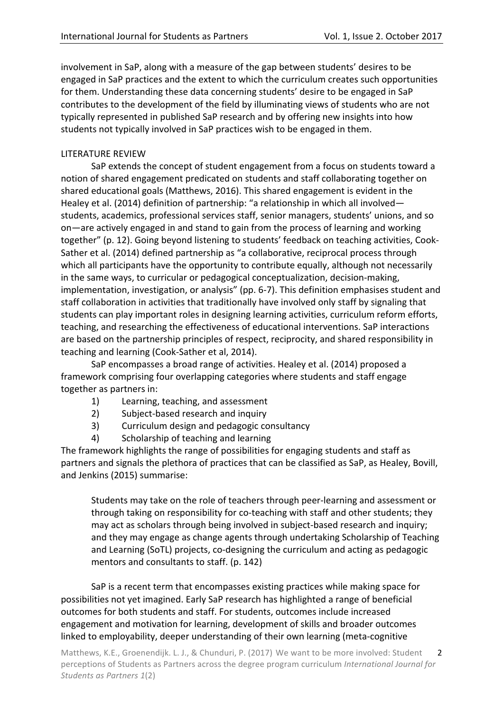involvement in SaP, along with a measure of the gap between students' desires to be engaged in SaP practices and the extent to which the curriculum creates such opportunities for them. Understanding these data concerning students' desire to be engaged in SaP contributes to the development of the field by illuminating views of students who are not typically represented in published SaP research and by offering new insights into how students not typically involved in SaP practices wish to be engaged in them.

# LITERATURE REVIEW

SaP extends the concept of student engagement from a focus on students toward a notion of shared engagement predicated on students and staff collaborating together on shared educational goals (Matthews, 2016). This shared engagement is evident in the Healey et al. (2014) definition of partnership: "a relationship in which all involved students, academics, professional services staff, senior managers, students' unions, and so on—are actively engaged in and stand to gain from the process of learning and working together" (p. 12). Going beyond listening to students' feedback on teaching activities, Cook-Sather et al. (2014) defined partnership as "a collaborative, reciprocal process through which all participants have the opportunity to contribute equally, although not necessarily in the same ways, to curricular or pedagogical conceptualization, decision-making, implementation, investigation, or analysis" (pp. 6-7). This definition emphasises student and staff collaboration in activities that traditionally have involved only staff by signaling that students can play important roles in designing learning activities, curriculum reform efforts, teaching, and researching the effectiveness of educational interventions. SaP interactions are based on the partnership principles of respect, reciprocity, and shared responsibility in teaching and learning (Cook-Sather et al, 2014).

SaP encompasses a broad range of activities. Healey et al. (2014) proposed a framework comprising four overlapping categories where students and staff engage together as partners in:

- 1) Learning, teaching, and assessment
- 2) Subject-based research and inquiry
- 3) Curriculum design and pedagogic consultancy
- 4) Scholarship of teaching and learning

The framework highlights the range of possibilities for engaging students and staff as partners and signals the plethora of practices that can be classified as SaP, as Healey, Bovill, and Jenkins (2015) summarise:

Students may take on the role of teachers through peer-learning and assessment or through taking on responsibility for co-teaching with staff and other students; they may act as scholars through being involved in subject-based research and inquiry; and they may engage as change agents through undertaking Scholarship of Teaching and Learning (SoTL) projects, co-designing the curriculum and acting as pedagogic mentors and consultants to staff. (p. 142)

SaP is a recent term that encompasses existing practices while making space for possibilities not yet imagined. Early SaP research has highlighted a range of beneficial outcomes for both students and staff. For students, outcomes include increased engagement and motivation for learning, development of skills and broader outcomes linked to employability, deeper understanding of their own learning (meta-cognitive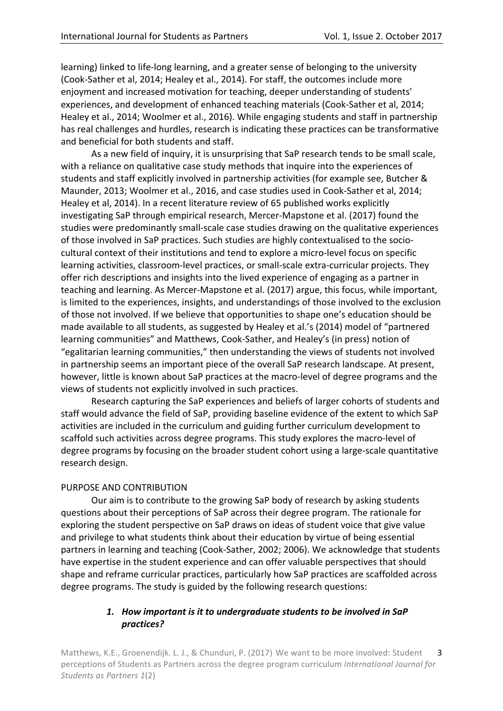learning) linked to life-long learning, and a greater sense of belonging to the university (Cook-Sather et al, 2014; Healey et al., 2014). For staff, the outcomes include more enjoyment and increased motivation for teaching, deeper understanding of students' experiences, and development of enhanced teaching materials (Cook-Sather et al, 2014; Healey et al., 2014; Woolmer et al., 2016). While engaging students and staff in partnership has real challenges and hurdles, research is indicating these practices can be transformative and beneficial for both students and staff.

As a new field of inquiry, it is unsurprising that SaP research tends to be small scale, with a reliance on qualitative case study methods that inquire into the experiences of students and staff explicitly involved in partnership activities (for example see, Butcher & Maunder, 2013; Woolmer et al., 2016, and case studies used in Cook-Sather et al, 2014; Healey et al, 2014). In a recent literature review of 65 published works explicitly investigating SaP through empirical research, Mercer-Mapstone et al. (2017) found the studies were predominantly small-scale case studies drawing on the qualitative experiences of those involved in SaP practices. Such studies are highly contextualised to the sociocultural context of their institutions and tend to explore a micro-level focus on specific learning activities, classroom-level practices, or small-scale extra-curricular projects. They offer rich descriptions and insights into the lived experience of engaging as a partner in teaching and learning. As Mercer-Mapstone et al. (2017) argue, this focus, while important, is limited to the experiences, insights, and understandings of those involved to the exclusion of those not involved. If we believe that opportunities to shape one's education should be made available to all students, as suggested by Healey et al.'s (2014) model of "partnered learning communities" and Matthews, Cook-Sather, and Healey's (in press) notion of "egalitarian learning communities," then understanding the views of students not involved in partnership seems an important piece of the overall SaP research landscape. At present, however, little is known about SaP practices at the macro-level of degree programs and the views of students not explicitly involved in such practices.

Research capturing the SaP experiences and beliefs of larger cohorts of students and staff would advance the field of SaP, providing baseline evidence of the extent to which SaP activities are included in the curriculum and guiding further curriculum development to scaffold such activities across degree programs. This study explores the macro-level of degree programs by focusing on the broader student cohort using a large-scale quantitative research design.

# PURPOSE AND CONTRIBUTION

Our aim is to contribute to the growing SaP body of research by asking students guestions about their perceptions of SaP across their degree program. The rationale for exploring the student perspective on SaP draws on ideas of student voice that give value and privilege to what students think about their education by virtue of being essential partners in learning and teaching (Cook-Sather, 2002; 2006). We acknowledge that students have expertise in the student experience and can offer valuable perspectives that should shape and reframe curricular practices, particularly how SaP practices are scaffolded across degree programs. The study is guided by the following research questions:

# 1. How important is it to undergraduate students to be involved in SaP *practices?*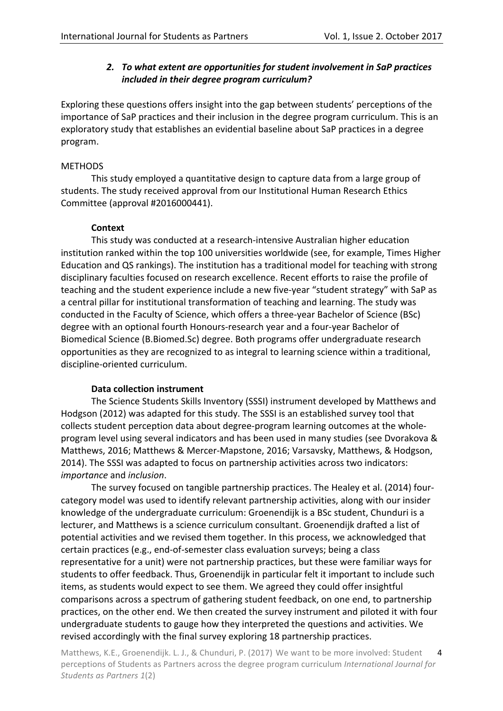# **2.** To what extent are opportunities for student involvement in SaP practices *included in their degree program curriculum?*

Exploring these questions offers insight into the gap between students' perceptions of the importance of SaP practices and their inclusion in the degree program curriculum. This is an exploratory study that establishes an evidential baseline about SaP practices in a degree program. 

### **METHODS**

This study employed a quantitative design to capture data from a large group of students. The study received approval from our Institutional Human Research Ethics Committee (approval #2016000441).

### **Context**

This study was conducted at a research-intensive Australian higher education institution ranked within the top 100 universities worldwide (see, for example, Times Higher Education and QS rankings). The institution has a traditional model for teaching with strong disciplinary faculties focused on research excellence. Recent efforts to raise the profile of teaching and the student experience include a new five-year "student strategy" with SaP as a central pillar for institutional transformation of teaching and learning. The study was conducted in the Faculty of Science, which offers a three-year Bachelor of Science (BSc) degree with an optional fourth Honours-research year and a four-year Bachelor of Biomedical Science (B.Biomed.Sc) degree. Both programs offer undergraduate research opportunities as they are recognized to as integral to learning science within a traditional, discipline-oriented curriculum.

#### **Data collection instrument**

The Science Students Skills Inventory (SSSI) instrument developed by Matthews and Hodgson (2012) was adapted for this study. The SSSI is an established survey tool that collects student perception data about degree-program learning outcomes at the wholeprogram level using several indicators and has been used in many studies (see Dvorakova & Matthews, 2016; Matthews & Mercer-Mapstone, 2016; Varsavsky, Matthews, & Hodgson, 2014). The SSSI was adapted to focus on partnership activities across two indicators: *importance* and *inclusion*.

The survey focused on tangible partnership practices. The Healey et al. (2014) fourcategory model was used to identify relevant partnership activities, along with our insider knowledge of the undergraduate curriculum: Groenendijk is a BSc student, Chunduri is a lecturer, and Matthews is a science curriculum consultant. Groenendijk drafted a list of potential activities and we revised them together. In this process, we acknowledged that certain practices (e.g., end-of-semester class evaluation surveys; being a class representative for a unit) were not partnership practices, but these were familiar ways for students to offer feedback. Thus, Groenendijk in particular felt it important to include such items, as students would expect to see them. We agreed they could offer insightful comparisons across a spectrum of gathering student feedback, on one end, to partnership practices, on the other end. We then created the survey instrument and piloted it with four undergraduate students to gauge how they interpreted the questions and activities. We revised accordingly with the final survey exploring 18 partnership practices.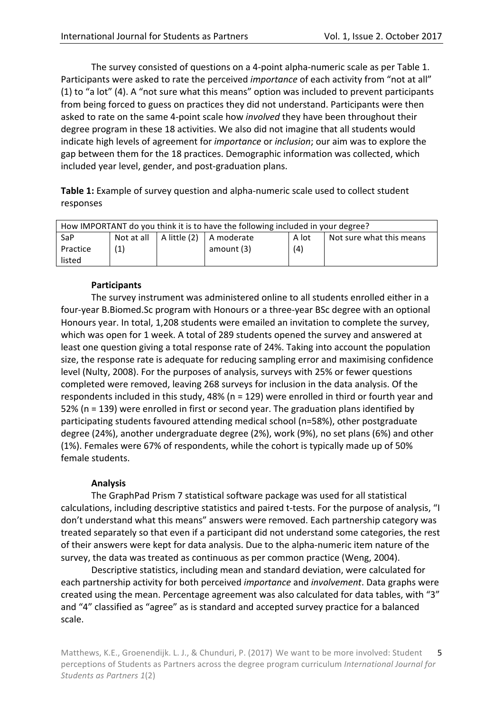The survey consisted of questions on a 4-point alpha-numeric scale as per Table 1. Participants were asked to rate the perceived *importance* of each activity from "not at all" (1) to "a lot" (4). A "not sure what this means" option was included to prevent participants from being forced to guess on practices they did not understand. Participants were then asked to rate on the same 4-point scale how *involved* they have been throughout their degree program in these 18 activities. We also did not imagine that all students would indicate high levels of agreement for *importance* or *inclusion*; our aim was to explore the gap between them for the 18 practices. Demographic information was collected, which included year level, gender, and post-graduation plans.

**Table 1:** Example of survey question and alpha-numeric scale used to collect student responses

| How IMPORTANT do you think it is to have the following included in your degree? |     |  |                                            |       |                          |  |
|---------------------------------------------------------------------------------|-----|--|--------------------------------------------|-------|--------------------------|--|
| SaP                                                                             |     |  | Not at all $ $ A little (2) $ $ A moderate | A lot | Not sure what this means |  |
| Practice                                                                        | (1) |  | amount (3)                                 | (4)   |                          |  |
| listed                                                                          |     |  |                                            |       |                          |  |

# **Participants**

The survey instrument was administered online to all students enrolled either in a four-year B.Biomed.Sc program with Honours or a three-year BSc degree with an optional Honours year. In total, 1,208 students were emailed an invitation to complete the survey, which was open for 1 week. A total of 289 students opened the survey and answered at least one question giving a total response rate of 24%. Taking into account the population size, the response rate is adequate for reducing sampling error and maximising confidence level (Nulty, 2008). For the purposes of analysis, surveys with 25% or fewer questions completed were removed, leaving 268 surveys for inclusion in the data analysis. Of the respondents included in this study, 48% ( $n = 129$ ) were enrolled in third or fourth year and 52% (n = 139) were enrolled in first or second year. The graduation plans identified by participating students favoured attending medical school (n=58%), other postgraduate degree (24%), another undergraduate degree (2%), work (9%), no set plans (6%) and other (1%). Females were 67% of respondents, while the cohort is typically made up of 50% female students.

# **Analysis**

The GraphPad Prism 7 statistical software package was used for all statistical calculations, including descriptive statistics and paired t-tests. For the purpose of analysis, "I don't understand what this means" answers were removed. Each partnership category was treated separately so that even if a participant did not understand some categories, the rest of their answers were kept for data analysis. Due to the alpha-numeric item nature of the survey, the data was treated as continuous as per common practice (Weng, 2004).

Descriptive statistics, including mean and standard deviation, were calculated for each partnership activity for both perceived *importance* and *involvement*. Data graphs were created using the mean. Percentage agreement was also calculated for data tables, with "3" and "4" classified as "agree" as is standard and accepted survey practice for a balanced scale.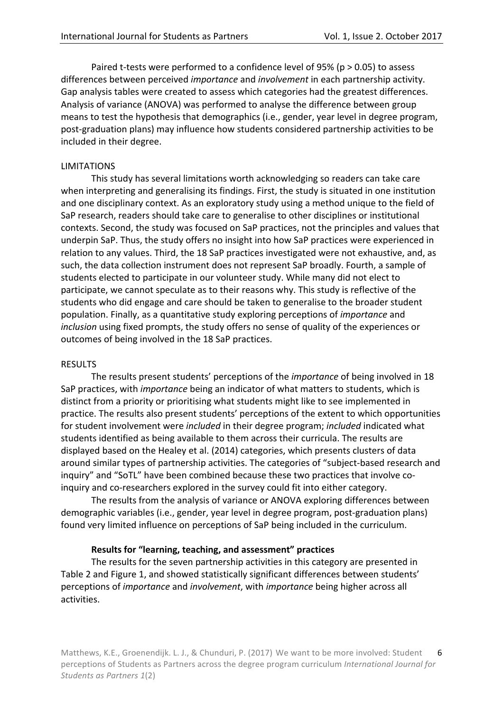Paired t-tests were performed to a confidence level of 95% (p  $> 0.05$ ) to assess differences between perceived *importance* and *involvement* in each partnership activity. Gap analysis tables were created to assess which categories had the greatest differences. Analysis of variance (ANOVA) was performed to analyse the difference between group means to test the hypothesis that demographics (i.e., gender, year level in degree program, post-graduation plans) may influence how students considered partnership activities to be included in their degree.

#### LIMITATIONS

This study has several limitations worth acknowledging so readers can take care when interpreting and generalising its findings. First, the study is situated in one institution and one disciplinary context. As an exploratory study using a method unique to the field of SaP research, readers should take care to generalise to other disciplines or institutional contexts. Second, the study was focused on SaP practices, not the principles and values that underpin SaP. Thus, the study offers no insight into how SaP practices were experienced in relation to any values. Third, the 18 SaP practices investigated were not exhaustive, and, as such, the data collection instrument does not represent SaP broadly. Fourth, a sample of students elected to participate in our volunteer study. While many did not elect to participate, we cannot speculate as to their reasons why. This study is reflective of the students who did engage and care should be taken to generalise to the broader student population. Finally, as a quantitative study exploring perceptions of *importance* and *inclusion* using fixed prompts, the study offers no sense of quality of the experiences or outcomes of being involved in the 18 SaP practices.

#### RESULTS

The results present students' perceptions of the *importance* of being involved in 18 SaP practices, with *importance* being an indicator of what matters to students, which is distinct from a priority or prioritising what students might like to see implemented in practice. The results also present students' perceptions of the extent to which opportunities for student involvement were *included* in their degree program; *included* indicated what students identified as being available to them across their curricula. The results are displayed based on the Healey et al. (2014) categories, which presents clusters of data around similar types of partnership activities. The categories of "subject-based research and inquiry" and "SoTL" have been combined because these two practices that involve coinquiry and co-researchers explored in the survey could fit into either category.

The results from the analysis of variance or ANOVA exploring differences between demographic variables (i.e., gender, year level in degree program, post-graduation plans) found very limited influence on perceptions of SaP being included in the curriculum.

#### **Results for "learning, teaching, and assessment" practices**

The results for the seven partnership activities in this category are presented in Table 2 and Figure 1, and showed statistically significant differences between students' perceptions of *importance* and *involvement*, with *importance* being higher across all activities.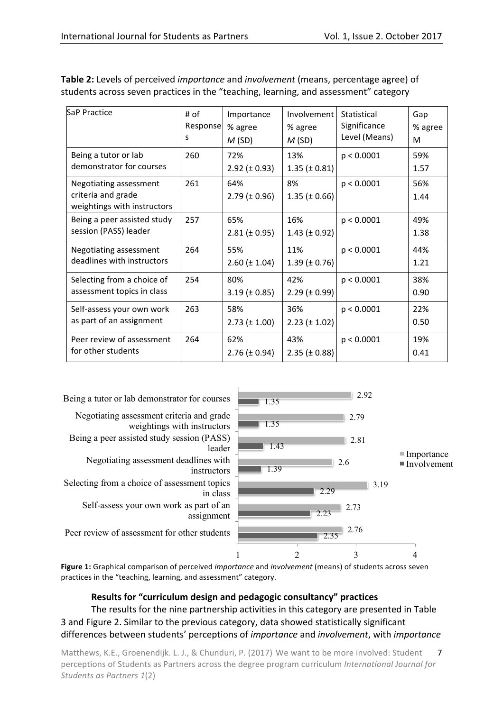| SaP Practice                                                                | # of<br>Response<br>s | Importance<br>% agree<br>M(SD) | Involvement<br>% agree<br>M(SD) | Statistical<br>Significance<br>Level (Means) | Gap<br>% agree<br>M |
|-----------------------------------------------------------------------------|-----------------------|--------------------------------|---------------------------------|----------------------------------------------|---------------------|
| Being a tutor or lab<br>demonstrator for courses                            | 260                   | 72%<br>$2.92 (\pm 0.93)$       | 13%<br>$1.35 (\pm 0.81)$        | p < 0.0001                                   | 59%<br>1.57         |
| Negotiating assessment<br>criteria and grade<br>weightings with instructors | 261                   | 64%<br>$2.79$ ( $\pm$ 0.96)    | 8%<br>$1.35 \ (\pm 0.66)$       | p < 0.0001                                   | 56%<br>1.44         |
| Being a peer assisted study<br>session (PASS) leader                        | 257                   | 65%<br>$2.81 (\pm 0.95)$       | 16%<br>$1.43 \ (\pm 0.92)$      | p < 0.0001                                   | 49%<br>1.38         |
| Negotiating assessment<br>deadlines with instructors                        | 264                   | 55%<br>$2.60 \ (\pm 1.04)$     | 11%<br>$1.39 \ (\pm 0.76)$      | p < 0.0001                                   | 44%<br>1.21         |
| Selecting from a choice of<br>assessment topics in class                    | 254                   | 80%<br>$3.19 \ (\pm 0.85)$     | 42%<br>$2.29$ ( $\pm$ 0.99)     | p < 0.0001                                   | 38%<br>0.90         |
| Self-assess your own work<br>as part of an assignment                       | 263                   | 58%<br>$2.73 (\pm 1.00)$       | 36%<br>$2.23 (\pm 1.02)$        | p < 0.0001                                   | 22%<br>0.50         |
| Peer review of assessment<br>for other students                             | 264                   | 62%<br>$2.76 (\pm 0.94)$       | 43%<br>$2.35 (\pm 0.88)$        | p < 0.0001                                   | 19%<br>0.41         |

**Table 2:** Levels of perceived *importance* and *involvement* (means, percentage agree) of students across seven practices in the "teaching, learning, and assessment" category



Figure 1: Graphical comparison of perceived *importance* and *involvement* (means) of students across seven practices in the "teaching, learning, and assessment" category.

# **Results for "curriculum design and pedagogic consultancy" practices**

The results for the nine partnership activities in this category are presented in Table 3 and Figure 2. Similar to the previous category, data showed statistically significant differences between students' perceptions of *importance* and *involvement*, with *importance*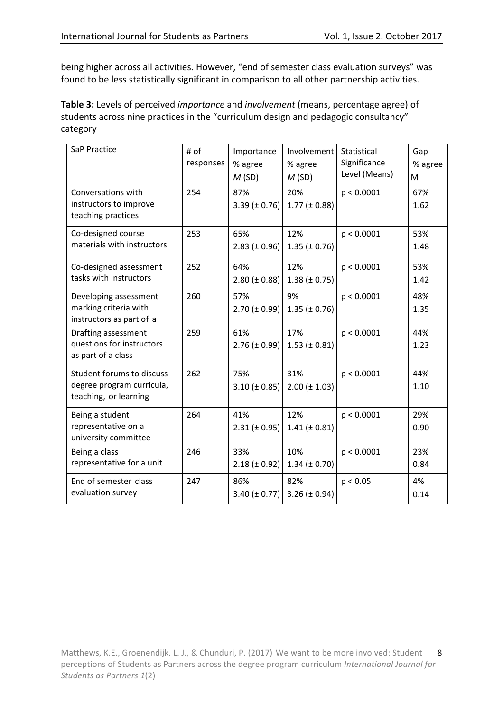being higher across all activities. However, "end of semester class evaluation surveys" was found to be less statistically significant in comparison to all other partnership activities.

Table 3: Levels of perceived *importance* and *involvement* (means, percentage agree) of students across nine practices in the "curriculum design and pedagogic consultancy" category

| SaP Practice                                                                    | # of<br>responses | Importance<br>% agree<br>M(SD) | Involvement<br>% agree<br>M(SD) | Statistical<br>Significance<br>Level (Means) | Gap<br>% agree<br>M |
|---------------------------------------------------------------------------------|-------------------|--------------------------------|---------------------------------|----------------------------------------------|---------------------|
| Conversations with<br>instructors to improve<br>teaching practices              | 254               | 87%<br>$3.39 (\pm 0.76)$       | 20%<br>$1.77 (\pm 0.88)$        | p < 0.0001                                   | 67%<br>1.62         |
| Co-designed course<br>materials with instructors                                | 253               | 65%<br>$2.83 \ (\pm 0.96)$     | 12%<br>$1.35 \ (\pm 0.76)$      | p < 0.0001                                   | 53%<br>1.48         |
| Co-designed assessment<br>tasks with instructors                                | 252               | 64%<br>$2.80 (\pm 0.88)$       | 12%<br>$1.38 (\pm 0.75)$        | p < 0.0001                                   | 53%<br>1.42         |
| Developing assessment<br>marking criteria with<br>instructors as part of a      | 260               | 57%<br>$2.70 \ (\pm 0.99)$     | 9%<br>$1.35 \ (\pm 0.76)$       | p < 0.0001                                   | 48%<br>1.35         |
| Drafting assessment<br>questions for instructors<br>as part of a class          | 259               | 61%<br>$2.76 (\pm 0.99)$       | 17%<br>$1.53$ ( $\pm$ 0.81)     | p < 0.0001                                   | 44%<br>1.23         |
| Student forums to discuss<br>degree program curricula,<br>teaching, or learning | 262               | 75%<br>$3.10 (\pm 0.85)$       | 31%<br>$2.00 (\pm 1.03)$        | p < 0.0001                                   | 44%<br>1.10         |
| Being a student<br>representative on a<br>university committee                  | 264               | 41%<br>$2.31 (\pm 0.95)$       | 12%<br>$1.41 (\pm 0.81)$        | p < 0.0001                                   | 29%<br>0.90         |
| Being a class<br>representative for a unit                                      | 246               | 33%<br>$2.18 (\pm 0.92)$       | 10%<br>$1.34 \ (\pm 0.70)$      | p < 0.0001                                   | 23%<br>0.84         |
| End of semester class<br>evaluation survey                                      | 247               | 86%<br>3.40 ( $\pm$ 0.77)      | 82%<br>3.26 ( $\pm$ 0.94)       | p < 0.05                                     | 4%<br>0.14          |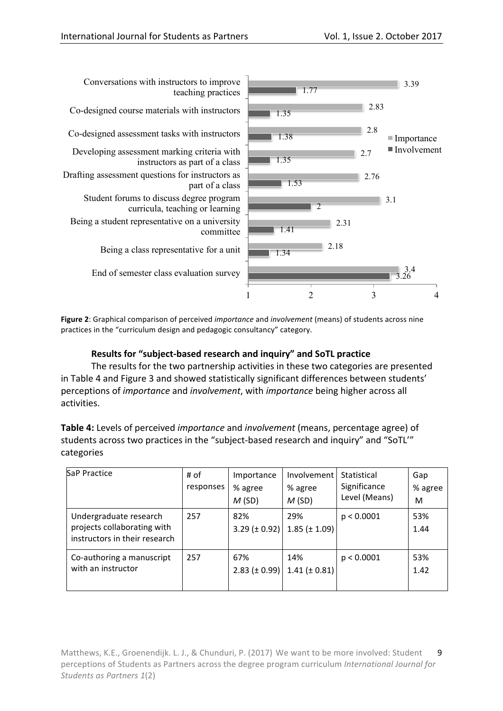

**Figure 2**: Graphical comparison of perceived *importance* and *involvement* (means) of students across nine practices in the "curriculum design and pedagogic consultancy" category.

# **Results for "subject-based research and inquiry" and SoTL practice**

The results for the two partnership activities in these two categories are presented in Table 4 and Figure 3 and showed statistically significant differences between students' perceptions of *importance* and *involvement*, with *importance* being higher across all activities.

**Table 4:** Levels of perceived *importance* and *involvement* (means, percentage agree) of students across two practices in the "subject-based research and inquiry" and "SoTL'" categories

| SaP Practice                                                                           | # of<br>responses | Importance<br>% agree<br>M(SD) | Involvement<br>% agree<br>M(SD) | Statistical<br>Significance<br>Level (Means) | Gap<br>% agree<br>М |
|----------------------------------------------------------------------------------------|-------------------|--------------------------------|---------------------------------|----------------------------------------------|---------------------|
| Undergraduate research<br>projects collaborating with<br>instructors in their research | 257               | 82%<br>3.29 ( $\pm$ 0.92)      | 29%<br>$1.85 (\pm 1.09)$        | p < 0.0001                                   | 53%<br>1.44         |
| Co-authoring a manuscript<br>with an instructor                                        | 257               | 67%<br>2.83 ( $\pm$ 0.99)      | 14%<br>1.41 ( $\pm$ 0.81)       | p < 0.0001                                   | 53%<br>1.42         |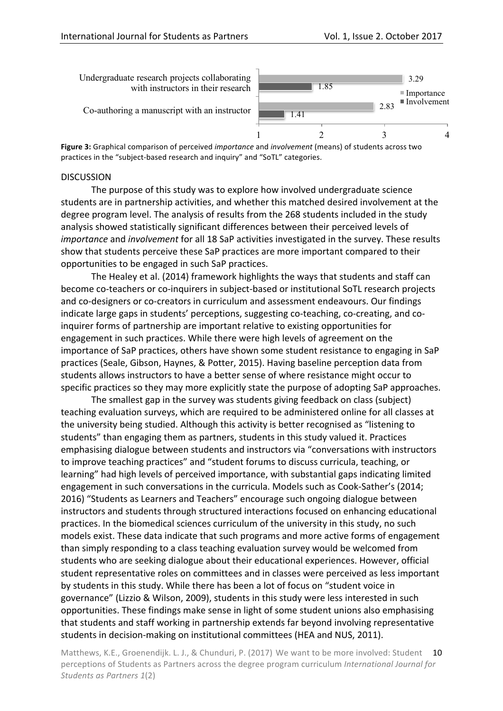

Co-authoring a manuscript with an instructor



**Figure 3:** Graphical comparison of perceived *importance* and *involvement* (means) of students across two practices in the "subject-based research and inquiry" and "SoTL" categories.

#### DISCUSSION

The purpose of this study was to explore how involved undergraduate science students are in partnership activities, and whether this matched desired involvement at the degree program level. The analysis of results from the 268 students included in the study analysis showed statistically significant differences between their perceived levels of *importance* and *involvement* for all 18 SaP activities investigated in the survey. These results show that students perceive these SaP practices are more important compared to their opportunities to be engaged in such SaP practices.

The Healey et al. (2014) framework highlights the ways that students and staff can become co-teachers or co-inquirers in subject-based or institutional SoTL research projects and co-designers or co-creators in curriculum and assessment endeavours. Our findings indicate large gaps in students' perceptions, suggesting co-teaching, co-creating, and coinquirer forms of partnership are important relative to existing opportunities for engagement in such practices. While there were high levels of agreement on the importance of SaP practices, others have shown some student resistance to engaging in SaP practices (Seale, Gibson, Haynes, & Potter, 2015). Having baseline perception data from students allows instructors to have a better sense of where resistance might occur to specific practices so they may more explicitly state the purpose of adopting SaP approaches.

The smallest gap in the survey was students giving feedback on class (subject) teaching evaluation surveys, which are required to be administered online for all classes at the university being studied. Although this activity is better recognised as "listening to students" than engaging them as partners, students in this study valued it. Practices emphasising dialogue between students and instructors via "conversations with instructors to improve teaching practices" and "student forums to discuss curricula, teaching, or learning" had high levels of perceived importance, with substantial gaps indicating limited engagement in such conversations in the curricula. Models such as Cook-Sather's (2014; 2016) "Students as Learners and Teachers" encourage such ongoing dialogue between instructors and students through structured interactions focused on enhancing educational practices. In the biomedical sciences curriculum of the university in this study, no such models exist. These data indicate that such programs and more active forms of engagement than simply responding to a class teaching evaluation survey would be welcomed from students who are seeking dialogue about their educational experiences. However, official student representative roles on committees and in classes were perceived as less important by students in this study. While there has been a lot of focus on "student voice in governance" (Lizzio & Wilson, 2009), students in this study were less interested in such opportunities. These findings make sense in light of some student unions also emphasising that students and staff working in partnership extends far beyond involving representative students in decision-making on institutional committees (HEA and NUS, 2011).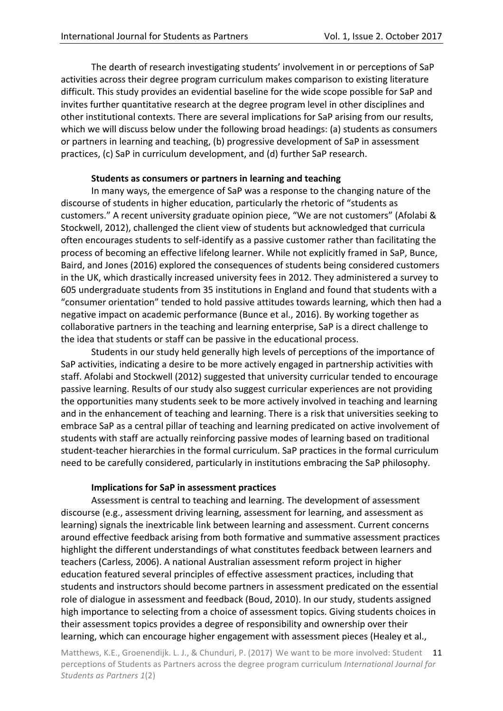The dearth of research investigating students' involvement in or perceptions of SaP activities across their degree program curriculum makes comparison to existing literature difficult. This study provides an evidential baseline for the wide scope possible for SaP and invites further quantitative research at the degree program level in other disciplines and other institutional contexts. There are several implications for SaP arising from our results, which we will discuss below under the following broad headings: (a) students as consumers or partners in learning and teaching, (b) progressive development of SaP in assessment practices, (c) SaP in curriculum development, and (d) further SaP research.

#### **Students as consumers or partners in learning and teaching**

In many ways, the emergence of SaP was a response to the changing nature of the discourse of students in higher education, particularly the rhetoric of "students as customers." A recent university graduate opinion piece, "We are not customers" (Afolabi & Stockwell, 2012), challenged the client view of students but acknowledged that curricula often encourages students to self-identify as a passive customer rather than facilitating the process of becoming an effective lifelong learner. While not explicitly framed in SaP, Bunce, Baird, and Jones (2016) explored the consequences of students being considered customers in the UK, which drastically increased university fees in 2012. They administered a survey to 605 undergraduate students from 35 institutions in England and found that students with a "consumer orientation" tended to hold passive attitudes towards learning, which then had a negative impact on academic performance (Bunce et al., 2016). By working together as collaborative partners in the teaching and learning enterprise, SaP is a direct challenge to the idea that students or staff can be passive in the educational process.

Students in our study held generally high levels of perceptions of the importance of SaP activities, indicating a desire to be more actively engaged in partnership activities with staff. Afolabi and Stockwell (2012) suggested that university curricular tended to encourage passive learning. Results of our study also suggest curricular experiences are not providing the opportunities many students seek to be more actively involved in teaching and learning and in the enhancement of teaching and learning. There is a risk that universities seeking to embrace SaP as a central pillar of teaching and learning predicated on active involvement of students with staff are actually reinforcing passive modes of learning based on traditional student-teacher hierarchies in the formal curriculum. SaP practices in the formal curriculum need to be carefully considered, particularly in institutions embracing the SaP philosophy.

# **Implications for SaP in assessment practices**

Assessment is central to teaching and learning. The development of assessment discourse (e.g., assessment driving learning, assessment for learning, and assessment as learning) signals the inextricable link between learning and assessment. Current concerns around effective feedback arising from both formative and summative assessment practices highlight the different understandings of what constitutes feedback between learners and teachers (Carless, 2006). A national Australian assessment reform project in higher education featured several principles of effective assessment practices, including that students and instructors should become partners in assessment predicated on the essential role of dialogue in assessment and feedback (Boud, 2010). In our study, students assigned high importance to selecting from a choice of assessment topics. Giving students choices in their assessment topics provides a degree of responsibility and ownership over their learning, which can encourage higher engagement with assessment pieces (Healey et al.,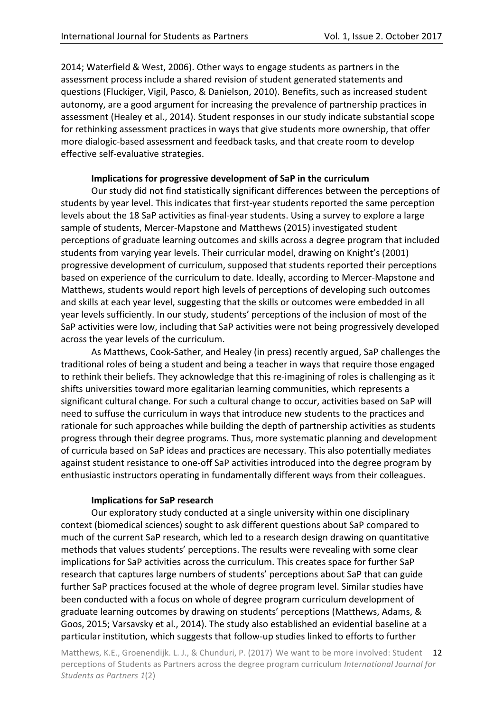2014; Waterfield & West, 2006). Other ways to engage students as partners in the assessment process include a shared revision of student generated statements and guestions (Fluckiger, Vigil, Pasco, & Danielson, 2010). Benefits, such as increased student autonomy, are a good argument for increasing the prevalence of partnership practices in assessment (Healey et al., 2014). Student responses in our study indicate substantial scope for rethinking assessment practices in ways that give students more ownership, that offer more dialogic-based assessment and feedback tasks, and that create room to develop effective self-evaluative strategies.

#### **Implications for progressive development of SaP in the curriculum**

Our study did not find statistically significant differences between the perceptions of students by year level. This indicates that first-year students reported the same perception levels about the 18 SaP activities as final-year students. Using a survey to explore a large sample of students, Mercer-Mapstone and Matthews (2015) investigated student perceptions of graduate learning outcomes and skills across a degree program that included students from varying year levels. Their curricular model, drawing on Knight's (2001) progressive development of curriculum, supposed that students reported their perceptions based on experience of the curriculum to date. Ideally, according to Mercer-Mapstone and Matthews, students would report high levels of perceptions of developing such outcomes and skills at each year level, suggesting that the skills or outcomes were embedded in all year levels sufficiently. In our study, students' perceptions of the inclusion of most of the SaP activities were low, including that SaP activities were not being progressively developed across the year levels of the curriculum.

As Matthews, Cook-Sather, and Healey (in press) recently argued, SaP challenges the traditional roles of being a student and being a teacher in ways that require those engaged to rethink their beliefs. They acknowledge that this re-imagining of roles is challenging as it shifts universities toward more egalitarian learning communities, which represents a significant cultural change. For such a cultural change to occur, activities based on SaP will need to suffuse the curriculum in ways that introduce new students to the practices and rationale for such approaches while building the depth of partnership activities as students progress through their degree programs. Thus, more systematic planning and development of curricula based on SaP ideas and practices are necessary. This also potentially mediates against student resistance to one-off SaP activities introduced into the degree program by enthusiastic instructors operating in fundamentally different ways from their colleagues.

# **Implications for SaP research**

Our exploratory study conducted at a single university within one disciplinary context (biomedical sciences) sought to ask different questions about SaP compared to much of the current SaP research, which led to a research design drawing on quantitative methods that values students' perceptions. The results were revealing with some clear implications for SaP activities across the curriculum. This creates space for further SaP research that captures large numbers of students' perceptions about SaP that can guide further SaP practices focused at the whole of degree program level. Similar studies have been conducted with a focus on whole of degree program curriculum development of graduate learning outcomes by drawing on students' perceptions (Matthews, Adams, & Goos, 2015; Varsavsky et al., 2014). The study also established an evidential baseline at a particular institution, which suggests that follow-up studies linked to efforts to further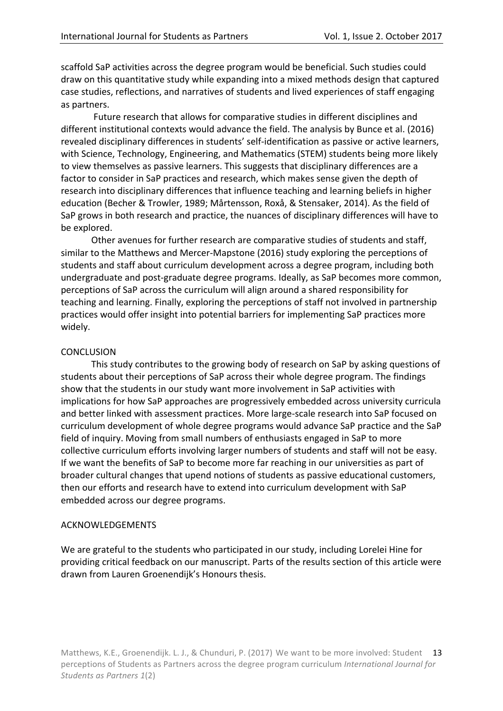scaffold SaP activities across the degree program would be beneficial. Such studies could draw on this quantitative study while expanding into a mixed methods design that captured case studies, reflections, and narratives of students and lived experiences of staff engaging as partners.

Future research that allows for comparative studies in different disciplines and different institutional contexts would advance the field. The analysis by Bunce et al. (2016) revealed disciplinary differences in students' self-identification as passive or active learners, with Science, Technology, Engineering, and Mathematics (STEM) students being more likely to view themselves as passive learners. This suggests that disciplinary differences are a factor to consider in SaP practices and research, which makes sense given the depth of research into disciplinary differences that influence teaching and learning beliefs in higher education (Becher & Trowler, 1989; Mårtensson, Roxå, & Stensaker, 2014). As the field of SaP grows in both research and practice, the nuances of disciplinary differences will have to be explored.

Other avenues for further research are comparative studies of students and staff, similar to the Matthews and Mercer-Mapstone (2016) study exploring the perceptions of students and staff about curriculum development across a degree program, including both undergraduate and post-graduate degree programs. Ideally, as SaP becomes more common, perceptions of SaP across the curriculum will align around a shared responsibility for teaching and learning. Finally, exploring the perceptions of staff not involved in partnership practices would offer insight into potential barriers for implementing SaP practices more widely. 

### **CONCLUSION**

This study contributes to the growing body of research on SaP by asking questions of students about their perceptions of SaP across their whole degree program. The findings show that the students in our study want more involvement in SaP activities with implications for how SaP approaches are progressively embedded across university curricula and better linked with assessment practices. More large-scale research into SaP focused on curriculum development of whole degree programs would advance SaP practice and the SaP field of inquiry. Moving from small numbers of enthusiasts engaged in SaP to more collective curriculum efforts involving larger numbers of students and staff will not be easy. If we want the benefits of SaP to become more far reaching in our universities as part of broader cultural changes that upend notions of students as passive educational customers, then our efforts and research have to extend into curriculum development with SaP embedded across our degree programs.

#### ACKNOWLEDGEMENTS

We are grateful to the students who participated in our study, including Lorelei Hine for providing critical feedback on our manuscript. Parts of the results section of this article were drawn from Lauren Groenendijk's Honours thesis.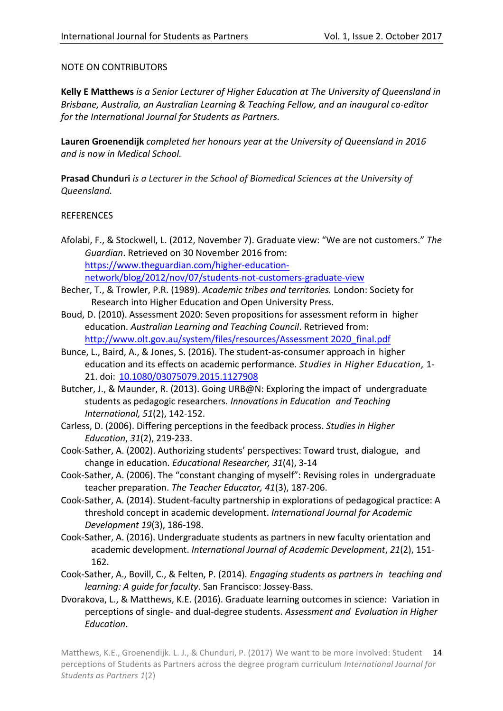### NOTE ON CONTRIBUTORS

Kelly E Matthews is a Senior Lecturer of Higher Education at The University of Queensland in *Brisbane, Australia, an Australian Learning & Teaching Fellow, and an inaugural co-editor* for the International Journal for Students as Partners.

Lauren Groenendijk *completed her honours* year at the University of Queensland in 2016 *and is now in Medical School.*

**Prasad Chunduri** *is a Lecturer in the School of Biomedical Sciences at the University of Queensland.*

### REFERENCES

- Afolabi, F., & Stockwell, L. (2012, November 7). Graduate view: "We are not customers." The *Guardian*. Retrieved on 30 November 2016 from: https://www.theguardian.com/higher-educationnetwork/blog/2012/nov/07/students-not-customers-graduate-view
- Becher, T., & Trowler, P.R. (1989). *Academic tribes and territories*. London: Society for Research into Higher Education and Open University Press.
- Boud, D. (2010). Assessment 2020: Seven propositions for assessment reform in higher education. *Australian Learning and Teaching Council*. Retrieved from: http://www.olt.gov.au/system/files/resources/Assessment 2020 final.pdf
- Bunce, L., Baird, A., & Jones, S. (2016). The student-as-consumer approach in higher education and its effects on academic performance. *Studies in Higher Education*, 1-21. doi: 10.1080/03075079.2015.1127908
- Butcher, J., & Maunder, R. (2013). Going URB@N: Exploring the impact of undergraduate students as pedagogic researchers. *Innovations in Education and Teaching International, 51*(2), 142-152.
- Carless, D. (2006). Differing perceptions in the feedback process. *Studies in Higher Education*, *31*(2), 219-233.
- Cook-Sather, A. (2002). Authorizing students' perspectives: Toward trust, dialogue, and change in education. *Educational Researcher, 31*(4), 3-14
- Cook-Sather, A. (2006). The "constant changing of myself": Revising roles in undergraduate teacher preparation. *The Teacher Educator, 41*(3), 187-206.
- Cook-Sather, A. (2014). Student-faculty partnership in explorations of pedagogical practice: A threshold concept in academic development. *International Journal for Academic Development 19*(3), 186-198.
- Cook-Sather, A. (2016). Undergraduate students as partners in new faculty orientation and academic development. *International Journal of Academic Development*, 21(2), 151-162.
- Cook-Sather, A., Bovill, C., & Felten, P. (2014). *Engaging students as partners in teaching and learning: A guide for faculty*. San Francisco: Jossey-Bass.
- Dvorakova, L., & Matthews, K.E. (2016). Graduate learning outcomes in science: Variation in perceptions of single- and dual-degree students. *Assessment and Evaluation in Higher Education*.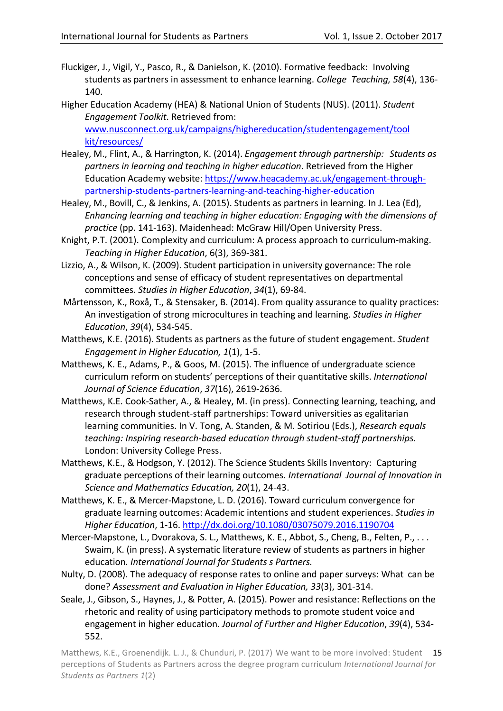Fluckiger, J., Vigil, Y., Pasco, R., & Danielson, K. (2010). Formative feedback: Involving students as partners in assessment to enhance learning. *College Teaching*, 58(4), 136-140.

Higher Education Academy (HEA) & National Union of Students (NUS). (2011). *Student Engagement Toolkit*. Retrieved from: www.nusconnect.org.uk/campaigns/highereducation/studentengagement/tool

kit/resources/

- Healey, M., Flint, A., & Harrington, K. (2014). *Engagement through partnership: Students as partners in learning and teaching in higher education*. Retrieved from the Higher Education Academy website: https://www.heacademy.ac.uk/engagement-throughpartnership-students-partners-learning-and-teaching-higher-education
- Healey, M., Bovill, C., & Jenkins, A. (2015). Students as partners in learning. In J. Lea (Ed), *Enhancing learning and teaching in higher education: Engaging with the dimensions of* practice (pp. 141-163). Maidenhead: McGraw Hill/Open University Press.
- Knight, P.T. (2001). Complexity and curriculum: A process approach to curriculum-making. *Teaching in Higher Education*, 6(3), 369-381.
- Lizzio, A., & Wilson, K. (2009). Student participation in university governance: The role conceptions and sense of efficacy of student representatives on departmental committees. *Studies in Higher Education*, 34(1), 69-84.
- Mårtensson, K., Roxå, T., & Stensaker, B. (2014). From quality assurance to quality practices: An investigation of strong microcultures in teaching and learning. *Studies in Higher Education*, *39*(4), 534-545.
- Matthews, K.E. (2016). Students as partners as the future of student engagement. *Student Engagement in Higher Education, 1*(1), 1-5.
- Matthews, K. E., Adams, P., & Goos, M. (2015). The influence of undergraduate science curriculum reform on students' perceptions of their quantitative skills. *International Journal of Science Education*, *37*(16), 2619-2636.
- Matthews, K.E. Cook-Sather, A., & Healey, M. (in press). Connecting learning, teaching, and research through student-staff partnerships: Toward universities as egalitarian learning communities. In V. Tong, A. Standen, & M. Sotiriou (Eds.), *Research equals teaching: Inspiring research-based education through student-staff partnerships.* London: University College Press.
- Matthews, K.E., & Hodgson, Y. (2012). The Science Students Skills Inventory: Capturing graduate perceptions of their learning outcomes. *International Journal of Innovation in Science and Mathematics Education, 20*(1), 24-43.
- Matthews, K. E., & Mercer-Mapstone, L. D. (2016). Toward curriculum convergence for graduate learning outcomes: Academic intentions and student experiences. *Studies in Higher Education*, 1-16. http://dx.doi.org/10.1080/03075079.2016.1190704
- Mercer-Mapstone, L., Dvorakova, S. L., Matthews, K. E., Abbot, S., Cheng, B., Felten, P., ... Swaim, K. (in press). A systematic literature review of students as partners in higher education. International Journal for Students s Partners.
- Nulty, D. (2008). The adequacy of response rates to online and paper surveys: What can be done? *Assessment and Evaluation in Higher Education, 33*(3), 301-314.
- Seale, J., Gibson, S., Haynes, J., & Potter, A. (2015). Power and resistance: Reflections on the rhetoric and reality of using participatory methods to promote student voice and engagement in higher education. *Journal of Further and Higher Education*, 39(4), 534-552.